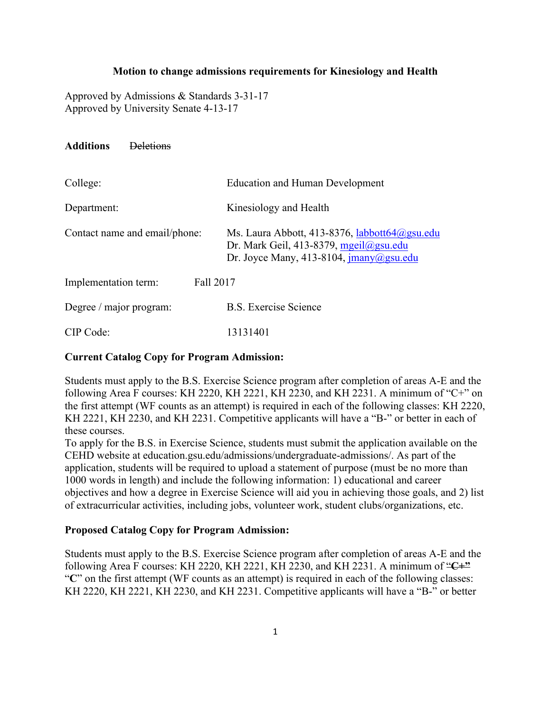#### **Motion to change admissions requirements for Kinesiology and Health**

Approved by Admissions & Standards 3-31-17 Approved by University Senate 4-13-17

| <b>Deletions</b> |
|------------------|
|                  |

| College:                          | <b>Education and Human Development</b>                                                                                                                                                                                                                                                                                                                                                                                                                                                                                                                                                                             |
|-----------------------------------|--------------------------------------------------------------------------------------------------------------------------------------------------------------------------------------------------------------------------------------------------------------------------------------------------------------------------------------------------------------------------------------------------------------------------------------------------------------------------------------------------------------------------------------------------------------------------------------------------------------------|
| Department:                       | Kinesiology and Health                                                                                                                                                                                                                                                                                                                                                                                                                                                                                                                                                                                             |
| Contact name and email/phone:     | Ms. Laura Abbott, 413-8376, labbott $64$ @gsu.edu<br>Dr. Mark Geil, 413-8379, mgeil@gsu.edu<br>Dr. Joyce Many, 413-8104, $\frac{\text{imany}}{\text{log} \cdot \text{log} \cdot \text{log} \cdot \text{log} \cdot \text{log} \cdot \text{log} \cdot \text{log} \cdot \text{log} \cdot \text{log} \cdot \text{log} \cdot \text{log} \cdot \text{log} \cdot \text{log} \cdot \text{log} \cdot \text{log} \cdot \text{log} \cdot \text{log} \cdot \text{log} \cdot \text{log} \cdot \text{log} \cdot \text{log} \cdot \text{log} \cdot \text{log} \cdot \text{log} \cdot \text{log} \cdot \text{log} \cdot \text{log$ |
| Fall 2017<br>Implementation term: |                                                                                                                                                                                                                                                                                                                                                                                                                                                                                                                                                                                                                    |
| Degree / major program:           | <b>B.S. Exercise Science</b>                                                                                                                                                                                                                                                                                                                                                                                                                                                                                                                                                                                       |
| CIP Code:                         | 13131401                                                                                                                                                                                                                                                                                                                                                                                                                                                                                                                                                                                                           |

# **Current Catalog Copy for Program Admission:**

Students must apply to the B.S. Exercise Science program after completion of areas A-E and the following Area F courses: KH 2220, KH 2221, KH 2230, and KH 2231. A minimum of "C+" on the first attempt (WF counts as an attempt) is required in each of the following classes: KH 2220, KH 2221, KH 2230, and KH 2231. Competitive applicants will have a "B-" or better in each of these courses.

To apply for the B.S. in Exercise Science, students must submit the application available on the CEHD website at education.gsu.edu/admissions/undergraduate-admissions/. As part of the application, students will be required to upload a statement of purpose (must be no more than 1000 words in length) and include the following information: 1) educational and career objectives and how a degree in Exercise Science will aid you in achieving those goals, and 2) list of extracurricular activities, including jobs, volunteer work, student clubs/organizations, etc.

# **Proposed Catalog Copy for Program Admission:**

Students must apply to the B.S. Exercise Science program after completion of areas A-E and the following Area F courses: KH 2220, KH 2221, KH 2230, and KH 2231. A minimum of "**C+"** "**C**" on the first attempt (WF counts as an attempt) is required in each of the following classes: KH 2220, KH 2221, KH 2230, and KH 2231. Competitive applicants will have a "B-" or better